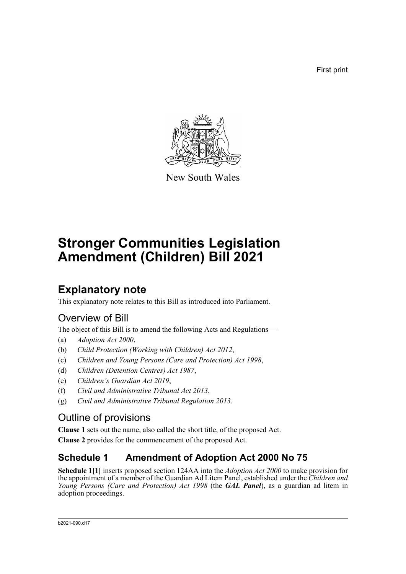First print



New South Wales

# **Stronger Communities Legislation Amendment (Children) Bill 2021**

# **Explanatory note**

This explanatory note relates to this Bill as introduced into Parliament.

## Overview of Bill

The object of this Bill is to amend the following Acts and Regulations—

- (a) *Adoption Act 2000*,
- (b) *Child Protection (Working with Children) Act 2012*,
- (c) *Children and Young Persons (Care and Protection) Act 1998*,
- (d) *Children (Detention Centres) Act 1987*,
- (e) *Children's Guardian Act 2019*,
- (f) *Civil and Administrative Tribunal Act 2013*,
- (g) *Civil and Administrative Tribunal Regulation 2013*.

## Outline of provisions

**Clause 1** sets out the name, also called the short title, of the proposed Act.

**Clause 2** provides for the commencement of the proposed Act.

## **Schedule 1 Amendment of Adoption Act 2000 No 75**

**Schedule 1[1]** inserts proposed section 124AA into the *Adoption Act 2000* to make provision for the appointment of a member of the Guardian Ad Litem Panel, established under the *Children and Young Persons (Care and Protection) Act 1998* (the *GAL Panel*), as a guardian ad litem in adoption proceedings.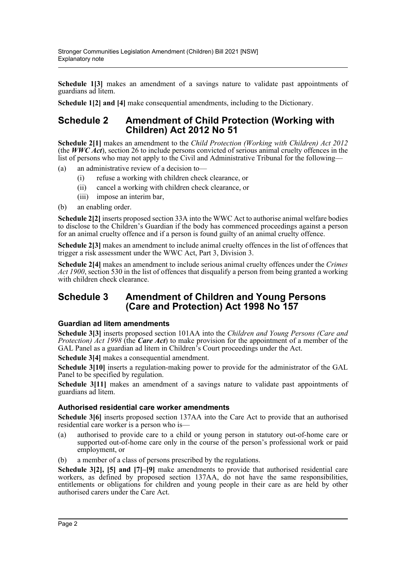**Schedule 1[3]** makes an amendment of a savings nature to validate past appointments of guardians ad litem.

**Schedule 1[2] and [4]** make consequential amendments, including to the Dictionary.

## **Schedule 2 Amendment of Child Protection (Working with Children) Act 2012 No 51**

**Schedule 2[1]** makes an amendment to the *Child Protection (Working with Children) Act 2012* (the *WWC Act*), section 26 to include persons convicted of serious animal cruelty offences in the list of persons who may not apply to the Civil and Administrative Tribunal for the following—

(a) an administrative review of a decision to—

- (i) refuse a working with children check clearance, or
- (ii) cancel a working with children check clearance, or
- (iii) impose an interim bar,
- (b) an enabling order.

**Schedule 2[2]** inserts proposed section 33A into the WWC Act to authorise animal welfare bodies to disclose to the Children's Guardian if the body has commenced proceedings against a person for an animal cruelty offence and if a person is found guilty of an animal cruelty offence.

**Schedule 2[3]** makes an amendment to include animal cruelty offences in the list of offences that trigger a risk assessment under the WWC Act, Part 3, Division 3.

**Schedule 2[4]** makes an amendment to include serious animal cruelty offences under the *Crimes Act 1900*, section 530 in the list of offences that disqualify a person from being granted a working with children check clearance.

## **Schedule 3 Amendment of Children and Young Persons (Care and Protection) Act 1998 No 157**

### **Guardian ad litem amendments**

**Schedule 3[3]** inserts proposed section 101AA into the *Children and Young Persons (Care and Protection) Act 1998* (the *Care Act*) to make provision for the appointment of a member of the GAL Panel as a guardian ad litem in Children's Court proceedings under the Act.

**Schedule 3[4]** makes a consequential amendment.

**Schedule 3[10]** inserts a regulation-making power to provide for the administrator of the GAL Panel to be specified by regulation.

**Schedule 3[11]** makes an amendment of a savings nature to validate past appointments of guardians ad litem.

### **Authorised residential care worker amendments**

**Schedule 3[6]** inserts proposed section 137AA into the Care Act to provide that an authorised residential care worker is a person who is—

- (a) authorised to provide care to a child or young person in statutory out-of-home care or supported out-of-home care only in the course of the person's professional work or paid employment, or
- (b) a member of a class of persons prescribed by the regulations.

**Schedule 3[2], [5] and [7]–[9]** make amendments to provide that authorised residential care workers, as defined by proposed section 137AA, do not have the same responsibilities, entitlements or obligations for children and young people in their care as are held by other authorised carers under the Care Act.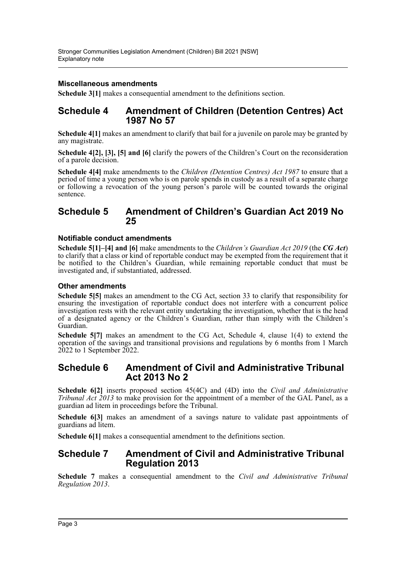### **Miscellaneous amendments**

**Schedule 3[1]** makes a consequential amendment to the definitions section.

## **Schedule 4 Amendment of Children (Detention Centres) Act 1987 No 57**

**Schedule 4[1]** makes an amendment to clarify that bail for a juvenile on parole may be granted by any magistrate.

**Schedule 4[2], [3], [5] and [6]** clarify the powers of the Children's Court on the reconsideration of a parole decision.

**Schedule 4[4]** make amendments to the *Children (Detention Centres) Act 1987* to ensure that a period of time a young person who is on parole spends in custody as a result of a separate charge or following a revocation of the young person's parole will be counted towards the original sentence.

### **Schedule 5 Amendment of Children's Guardian Act 2019 No 25**

#### **Notifiable conduct amendments**

**Schedule 5[1]–[4] and [6]** make amendments to the *Children's Guardian Act 2019* (the *CG Act*) to clarify that a class or kind of reportable conduct may be exempted from the requirement that it be notified to the Children's Guardian, while remaining reportable conduct that must be investigated and, if substantiated, addressed.

#### **Other amendments**

**Schedule 5[5]** makes an amendment to the CG Act, section 33 to clarify that responsibility for ensuring the investigation of reportable conduct does not interfere with a concurrent police investigation rests with the relevant entity undertaking the investigation, whether that is the head of a designated agency or the Children's Guardian, rather than simply with the Children's Guardian.

**Schedule 5[7]** makes an amendment to the CG Act, Schedule 4, clause 1(4) to extend the operation of the savings and transitional provisions and regulations by 6 months from 1 March 2022 to 1 September 2022.

### **Schedule 6 Amendment of Civil and Administrative Tribunal Act 2013 No 2**

**Schedule 6[2]** inserts proposed section 45(4C) and (4D) into the *Civil and Administrative Tribunal Act 2013* to make provision for the appointment of a member of the GAL Panel, as a guardian ad litem in proceedings before the Tribunal.

**Schedule 6[3]** makes an amendment of a savings nature to validate past appointments of guardians ad litem.

**Schedule 6[1]** makes a consequential amendment to the definitions section.

### **Schedule 7 Amendment of Civil and Administrative Tribunal Regulation 2013**

**Schedule 7** makes a consequential amendment to the *Civil and Administrative Tribunal Regulation 2013*.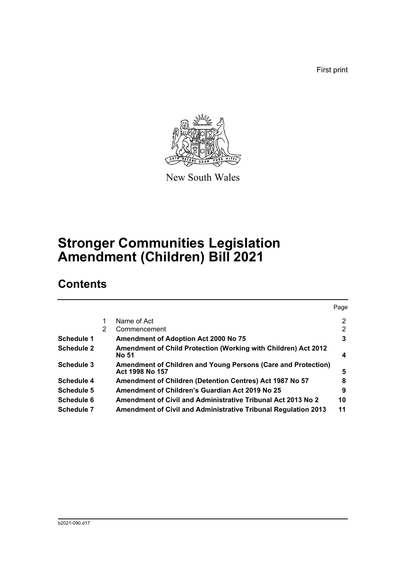First print



New South Wales

# **Stronger Communities Legislation Amendment (Children) Bill 2021**

## **Contents**

|                   |   |                                                                                  | Page |
|-------------------|---|----------------------------------------------------------------------------------|------|
|                   |   | Name of Act                                                                      | 2    |
|                   | 2 | Commencement                                                                     | 2    |
| Schedule 1        |   | <b>Amendment of Adoption Act 2000 No 75</b>                                      | 3    |
| <b>Schedule 2</b> |   | Amendment of Child Protection (Working with Children) Act 2012<br>No 51          | 4    |
| Schedule 3        |   | Amendment of Children and Young Persons (Care and Protection)<br>Act 1998 No 157 | 5    |
| Schedule 4        |   | Amendment of Children (Detention Centres) Act 1987 No 57                         | 8    |
| Schedule 5        |   | Amendment of Children's Guardian Act 2019 No 25                                  | 9    |
| Schedule 6        |   | Amendment of Civil and Administrative Tribunal Act 2013 No 2                     | 10   |
| <b>Schedule 7</b> |   | <b>Amendment of Civil and Administrative Tribunal Regulation 2013</b>            | 11   |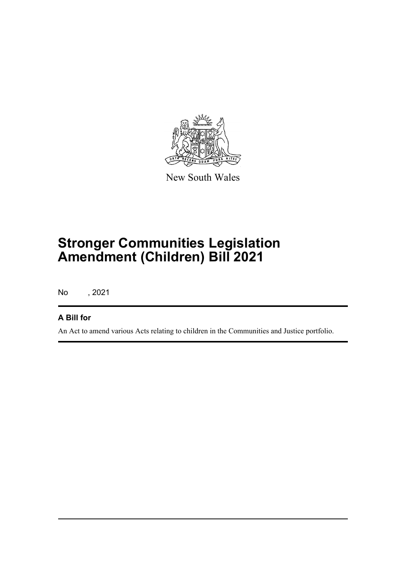

New South Wales

# **Stronger Communities Legislation Amendment (Children) Bill 2021**

No , 2021

## **A Bill for**

An Act to amend various Acts relating to children in the Communities and Justice portfolio.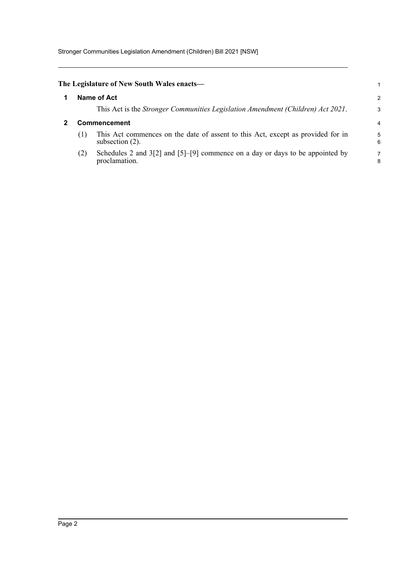<span id="page-5-1"></span><span id="page-5-0"></span>

|                     | The Legislature of New South Wales enacts—                                                            |        |  |  |
|---------------------|-------------------------------------------------------------------------------------------------------|--------|--|--|
| Name of Act         |                                                                                                       |        |  |  |
|                     | This Act is the <i>Stronger Communities Legislation Amendment (Children) Act 2021</i> .               | 3      |  |  |
| <b>Commencement</b> |                                                                                                       |        |  |  |
| (1)                 | This Act commences on the date of assent to this Act, except as provided for in<br>subsection $(2)$ . | 5<br>6 |  |  |
| (2)                 | Schedules 2 and $3[2]$ and $[5]-[9]$ commence on a day or days to be appointed by<br>proclamation.    | 7<br>8 |  |  |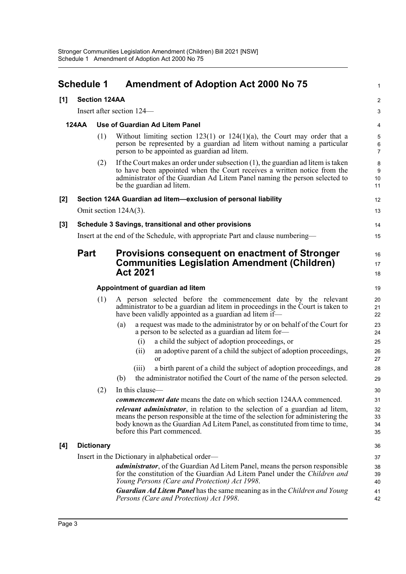<span id="page-6-0"></span>

| <b>Schedule 1</b>           |                                  |                   | <b>Amendment of Adoption Act 2000 No 75</b>                                                                                                                                                                                                                                            |                                             |  |  |
|-----------------------------|----------------------------------|-------------------|----------------------------------------------------------------------------------------------------------------------------------------------------------------------------------------------------------------------------------------------------------------------------------------|---------------------------------------------|--|--|
| <b>Section 124AA</b><br>[1] |                                  |                   |                                                                                                                                                                                                                                                                                        | $\boldsymbol{2}$                            |  |  |
|                             |                                  |                   | Insert after section 124—                                                                                                                                                                                                                                                              | 3                                           |  |  |
|                             | <b>124AA</b>                     |                   | Use of Guardian Ad Litem Panel                                                                                                                                                                                                                                                         | 4                                           |  |  |
|                             |                                  | (1)               | Without limiting section $123(1)$ or $124(1)(a)$ , the Court may order that a<br>person be represented by a guardian ad litem without naming a particular<br>person to be appointed as guardian ad litem.                                                                              | $\overline{5}$<br>$\,6\,$<br>$\overline{7}$ |  |  |
|                             |                                  | (2)               | If the Court makes an order under subsection $(1)$ , the guardian ad litem is taken<br>to have been appointed when the Court receives a written notice from the<br>administrator of the Guardian Ad Litem Panel naming the person selected to<br>be the guardian ad litem.             | 8<br>9<br>10<br>11                          |  |  |
| $[2]$                       |                                  |                   | Section 124A Guardian ad litem-exclusion of personal liability                                                                                                                                                                                                                         | 12                                          |  |  |
|                             |                                  |                   | Omit section 124A(3).                                                                                                                                                                                                                                                                  | 13                                          |  |  |
| $[3]$                       |                                  |                   | Schedule 3 Savings, transitional and other provisions                                                                                                                                                                                                                                  | 14                                          |  |  |
|                             |                                  |                   | Insert at the end of the Schedule, with appropriate Part and clause numbering—                                                                                                                                                                                                         | 15                                          |  |  |
|                             | <b>Part</b>                      |                   | Provisions consequent on enactment of Stronger<br><b>Communities Legislation Amendment (Children)</b><br><b>Act 2021</b>                                                                                                                                                               | 16<br>17<br>18                              |  |  |
|                             |                                  |                   |                                                                                                                                                                                                                                                                                        | 19                                          |  |  |
|                             | Appointment of guardian ad litem |                   |                                                                                                                                                                                                                                                                                        |                                             |  |  |
|                             |                                  | (1)               | A person selected before the commencement date by the relevant<br>administrator to be a guardian ad litem in proceedings in the Court is taken to<br>have been validly appointed as a guardian ad litem if-                                                                            | 20<br>21<br>22                              |  |  |
|                             |                                  |                   | a request was made to the administrator by or on behalf of the Court for<br>(a)<br>a person to be selected as a guardian ad litem for-                                                                                                                                                 | 23<br>24                                    |  |  |
|                             |                                  |                   | a child the subject of adoption proceedings, or<br>(i)                                                                                                                                                                                                                                 | 25                                          |  |  |
|                             |                                  |                   | an adoptive parent of a child the subject of adoption proceedings,<br>(i)<br><b>or</b>                                                                                                                                                                                                 | 26<br>27                                    |  |  |
|                             |                                  |                   | a birth parent of a child the subject of adoption proceedings, and<br>(iii)                                                                                                                                                                                                            | 28                                          |  |  |
|                             |                                  |                   | the administrator notified the Court of the name of the person selected.<br>(b)                                                                                                                                                                                                        | 29                                          |  |  |
|                             |                                  | (2)               | In this clause—                                                                                                                                                                                                                                                                        | 30                                          |  |  |
|                             |                                  |                   | commencement date means the date on which section 124AA commenced.                                                                                                                                                                                                                     | 31                                          |  |  |
|                             |                                  |                   | <i>relevant administrator</i> , in relation to the selection of a guardian ad litem,<br>means the person responsible at the time of the selection for administering the<br>body known as the Guardian Ad Litem Panel, as constituted from time to time,<br>before this Part commenced. | 32<br>33<br>34<br>35                        |  |  |
| [4]                         |                                  | <b>Dictionary</b> |                                                                                                                                                                                                                                                                                        | 36                                          |  |  |
|                             |                                  |                   | Insert in the Dictionary in alphabetical order—                                                                                                                                                                                                                                        | 37                                          |  |  |
|                             |                                  |                   | <i>administrator</i> , of the Guardian Ad Litem Panel, means the person responsible<br>for the constitution of the Guardian Ad Litem Panel under the <i>Children and</i><br>Young Persons (Care and Protection) Act 1998.                                                              | 38<br>39<br>40                              |  |  |
|                             |                                  |                   | <b>Guardian Ad Litem Panel</b> has the same meaning as in the Children and Young<br>Persons (Care and Protection) Act 1998.                                                                                                                                                            | 41<br>42                                    |  |  |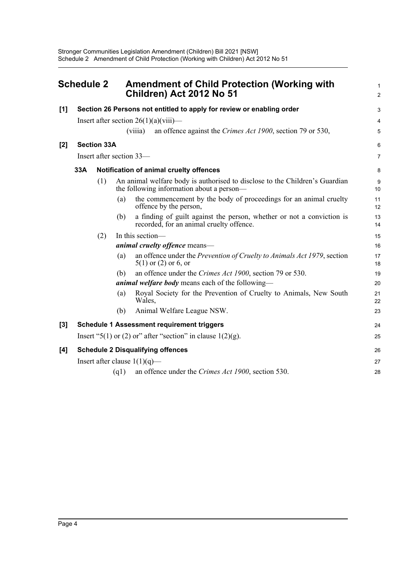<span id="page-7-0"></span>

| <b>Schedule 2</b> |                                          |                    | <b>Amendment of Child Protection (Working with</b><br>Children) Act 2012 No 51 |                  | $\mathbf 1$<br>$\overline{c}$                                                                                            |                         |
|-------------------|------------------------------------------|--------------------|--------------------------------------------------------------------------------|------------------|--------------------------------------------------------------------------------------------------------------------------|-------------------------|
| $[1]$             |                                          |                    |                                                                                |                  | Section 26 Persons not entitled to apply for review or enabling order                                                    | 3                       |
|                   |                                          |                    |                                                                                |                  | Insert after section $26(1)(a)(viii)$ —                                                                                  | $\overline{\mathbf{4}}$ |
|                   |                                          |                    |                                                                                | (viiia)          | an offence against the Crimes Act 1900, section 79 or 530,                                                               | 5                       |
| $[2]$             |                                          | <b>Section 33A</b> |                                                                                |                  |                                                                                                                          | 6                       |
|                   |                                          |                    | Insert after section 33-                                                       |                  |                                                                                                                          | $\overline{7}$          |
|                   | 33A                                      |                    |                                                                                |                  | Notification of animal cruelty offences                                                                                  | 8                       |
|                   |                                          | (1)                |                                                                                |                  | An animal welfare body is authorised to disclose to the Children's Guardian<br>the following information about a person- | 9<br>10                 |
|                   |                                          |                    | (a)                                                                            |                  | the commencement by the body of proceedings for an animal cruelty<br>offence by the person,                              | 11<br>12                |
|                   |                                          |                    | (b)                                                                            |                  | a finding of guilt against the person, whether or not a conviction is<br>recorded, for an animal cruelty offence.        | 13<br>14                |
|                   |                                          | (2)                |                                                                                | In this section- |                                                                                                                          | 15                      |
|                   |                                          |                    |                                                                                |                  | animal cruelty offence means-                                                                                            | 16                      |
|                   |                                          |                    | (a)                                                                            |                  | an offence under the <i>Prevention of Cruelty to Animals Act 1979</i> , section<br>$5(1)$ or $(2)$ or 6, or              | 17<br>18                |
|                   |                                          |                    | (b)                                                                            |                  | an offence under the Crimes Act 1900, section 79 or 530.                                                                 | 19                      |
|                   |                                          |                    |                                                                                |                  | <i>animal welfare body</i> means each of the following—                                                                  | 20                      |
|                   |                                          |                    | (a)                                                                            | Wales,           | Royal Society for the Prevention of Cruelty to Animals, New South                                                        | 21<br>22                |
|                   |                                          |                    | (b)                                                                            |                  | Animal Welfare League NSW.                                                                                               | 23                      |
| $[3]$             |                                          |                    |                                                                                |                  | <b>Schedule 1 Assessment requirement triggers</b>                                                                        | 24                      |
|                   |                                          |                    |                                                                                |                  | Insert "5(1) or (2) or" after "section" in clause $1(2)(g)$ .                                                            | 25                      |
| [4]               | <b>Schedule 2 Disqualifying offences</b> |                    |                                                                                |                  |                                                                                                                          | 26                      |
|                   |                                          |                    | Insert after clause $1(1)(q)$ —                                                |                  |                                                                                                                          | 27                      |
|                   |                                          |                    | (q1)                                                                           |                  | an offence under the Crimes Act 1900, section 530.                                                                       | 28                      |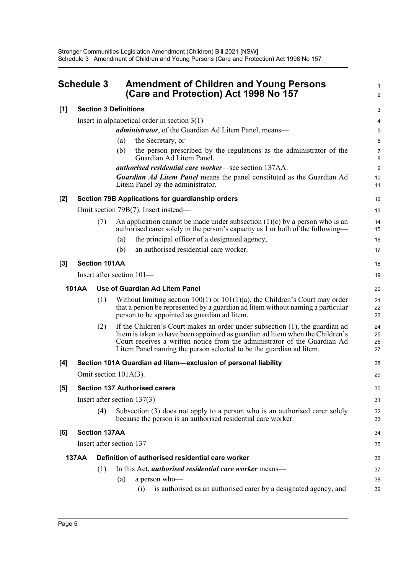<span id="page-8-0"></span>

| <b>Schedule 3</b> |                                 | <b>Amendment of Children and Young Persons</b><br>(Care and Protection) Act 1998 No 157                                                                                                                                                                                                                            |                      |  |  |  |
|-------------------|---------------------------------|--------------------------------------------------------------------------------------------------------------------------------------------------------------------------------------------------------------------------------------------------------------------------------------------------------------------|----------------------|--|--|--|
| [1]               |                                 | <b>Section 3 Definitions</b>                                                                                                                                                                                                                                                                                       | 3                    |  |  |  |
|                   |                                 | Insert in alphabetical order in section $3(1)$ —                                                                                                                                                                                                                                                                   | 4                    |  |  |  |
|                   |                                 | administrator, of the Guardian Ad Litem Panel, means-                                                                                                                                                                                                                                                              | 5                    |  |  |  |
|                   |                                 | the Secretary, or<br>(a)                                                                                                                                                                                                                                                                                           | $6\phantom{1}6$      |  |  |  |
|                   |                                 | the person prescribed by the regulations as the administrator of the<br>(b)<br>Guardian Ad Litem Panel.                                                                                                                                                                                                            | $\overline{7}$<br>8  |  |  |  |
|                   |                                 | <i>authorised residential care worker</i> —see section 137AA.                                                                                                                                                                                                                                                      | 9                    |  |  |  |
|                   |                                 | <b>Guardian Ad Litem Panel</b> means the panel constituted as the Guardian Ad<br>Litem Panel by the administrator.                                                                                                                                                                                                 | 10<br>11             |  |  |  |
| [2]               |                                 | Section 79B Applications for guardianship orders                                                                                                                                                                                                                                                                   | 12                   |  |  |  |
|                   |                                 | Omit section 79B(7). Insert instead—                                                                                                                                                                                                                                                                               | 13                   |  |  |  |
|                   | (7)                             | An application cannot be made under subsection $(1)(c)$ by a person who is an<br>authorised carer solely in the person's capacity as 1 or both of the following—                                                                                                                                                   | 14<br>15             |  |  |  |
|                   |                                 | the principal officer of a designated agency,<br>(a)                                                                                                                                                                                                                                                               | 16                   |  |  |  |
|                   |                                 | an authorised residential care worker.<br>(b)                                                                                                                                                                                                                                                                      | 17                   |  |  |  |
| [3]               | <b>Section 101AA</b>            |                                                                                                                                                                                                                                                                                                                    | 18                   |  |  |  |
|                   |                                 | Insert after section 101-                                                                                                                                                                                                                                                                                          | 19                   |  |  |  |
|                   | <b>101AA</b>                    | Use of Guardian Ad Litem Panel                                                                                                                                                                                                                                                                                     | 20                   |  |  |  |
|                   | (1)                             | Without limiting section $100(1)$ or $101(1)(a)$ , the Children's Court may order<br>that a person be represented by a guardian ad litem without naming a particular<br>person to be appointed as guardian ad litem.                                                                                               | 21<br>22<br>23       |  |  |  |
|                   | (2)                             | If the Children's Court makes an order under subsection (1), the guardian ad<br>litem is taken to have been appointed as guardian ad litem when the Children's<br>Court receives a written notice from the administrator of the Guardian Ad<br>Litem Panel naming the person selected to be the guardian ad litem. | 24<br>25<br>26<br>27 |  |  |  |
| [4]               |                                 | Section 101A Guardian ad litem-exclusion of personal liability                                                                                                                                                                                                                                                     | 28                   |  |  |  |
|                   |                                 | Omit section $101A(3)$ .                                                                                                                                                                                                                                                                                           | 29                   |  |  |  |
| [5]               |                                 | <b>Section 137 Authorised carers</b>                                                                                                                                                                                                                                                                               | 30                   |  |  |  |
|                   | Insert after section $137(3)$ — |                                                                                                                                                                                                                                                                                                                    |                      |  |  |  |
|                   | (4)                             | Subsection $(3)$ does not apply to a person who is an authorised carer solely<br>because the person is an authorised residential care worker.                                                                                                                                                                      | 32<br>33             |  |  |  |
| [6]               | <b>Section 137AA</b>            |                                                                                                                                                                                                                                                                                                                    | 34                   |  |  |  |
|                   |                                 | Insert after section 137—                                                                                                                                                                                                                                                                                          | 35                   |  |  |  |
|                   | <b>137AA</b>                    | Definition of authorised residential care worker                                                                                                                                                                                                                                                                   | 36                   |  |  |  |
|                   | (1)                             | In this Act, <i>authorised residential care worker</i> means-                                                                                                                                                                                                                                                      | 37                   |  |  |  |
|                   |                                 | a person who-<br>(a)                                                                                                                                                                                                                                                                                               | 38                   |  |  |  |
|                   |                                 | is authorised as an authorised carer by a designated agency, and<br>(i)                                                                                                                                                                                                                                            | 39                   |  |  |  |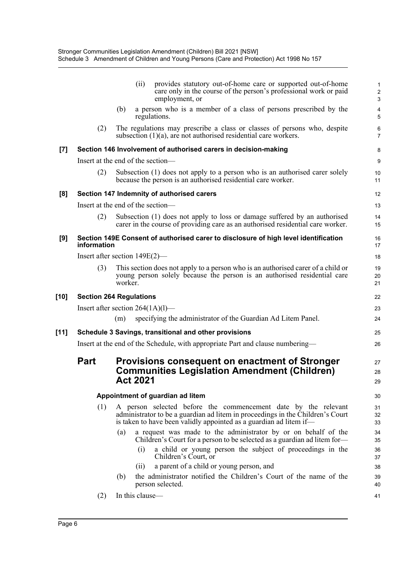|        |                                                                                |         | (ii)<br>provides statutory out-of-home care or supported out-of-home<br>care only in the course of the person's professional work or paid<br>employment, or                                                            |  | $\mathbf{1}$<br>$\overline{c}$<br>$\ensuremath{\mathsf{3}}$ |  |
|--------|--------------------------------------------------------------------------------|---------|------------------------------------------------------------------------------------------------------------------------------------------------------------------------------------------------------------------------|--|-------------------------------------------------------------|--|
|        |                                                                                | (b)     | a person who is a member of a class of persons prescribed by the<br>regulations.                                                                                                                                       |  | 4<br>5                                                      |  |
|        | (2)                                                                            |         | The regulations may prescribe a class or classes of persons who, despite<br>subsection $(1)(a)$ , are not authorised residential care workers.                                                                         |  | 6<br>$\overline{7}$                                         |  |
| $[7]$  |                                                                                |         | Section 146 Involvement of authorised carers in decision-making                                                                                                                                                        |  | 8                                                           |  |
|        |                                                                                |         | Insert at the end of the section-                                                                                                                                                                                      |  | 9                                                           |  |
|        | (2)                                                                            |         | Subsection (1) does not apply to a person who is an authorised carer solely<br>because the person is an authorised residential care worker.                                                                            |  | 10<br>11                                                    |  |
| [8]    |                                                                                |         | Section 147 Indemnity of authorised carers                                                                                                                                                                             |  | 12                                                          |  |
|        |                                                                                |         | Insert at the end of the section-                                                                                                                                                                                      |  | 13                                                          |  |
|        | (2)                                                                            |         | Subsection (1) does not apply to loss or damage suffered by an authorised<br>carer in the course of providing care as an authorised residential care worker.                                                           |  | 14<br>15                                                    |  |
| [9]    | information                                                                    |         | Section 149E Consent of authorised carer to disclosure of high level identification                                                                                                                                    |  | 16<br>17                                                    |  |
|        |                                                                                |         | Insert after section $149E(2)$ —                                                                                                                                                                                       |  | 18                                                          |  |
|        | (3)                                                                            | worker. | This section does not apply to a person who is an authorised carer of a child or<br>young person solely because the person is an authorised residential care                                                           |  | 19<br>20<br>21                                              |  |
| $[10]$ | <b>Section 264 Regulations</b>                                                 |         |                                                                                                                                                                                                                        |  | 22                                                          |  |
|        |                                                                                |         | Insert after section $264(1A)(1)$ —                                                                                                                                                                                    |  | 23                                                          |  |
|        |                                                                                | (m)     | specifying the administrator of the Guardian Ad Litem Panel.                                                                                                                                                           |  | 24                                                          |  |
| $[11]$ |                                                                                |         | Schedule 3 Savings, transitional and other provisions                                                                                                                                                                  |  | 25                                                          |  |
|        | Insert at the end of the Schedule, with appropriate Part and clause numbering— |         |                                                                                                                                                                                                                        |  |                                                             |  |
|        | <b>Part</b>                                                                    |         | <b>Provisions consequent on enactment of Stronger</b><br><b>Communities Legislation Amendment (Children)</b>                                                                                                           |  | 27<br>28                                                    |  |
|        |                                                                                |         | <b>Act 2021</b>                                                                                                                                                                                                        |  | 29                                                          |  |
|        |                                                                                |         | Appointment of guardian ad litem                                                                                                                                                                                       |  | 30                                                          |  |
|        | (1)                                                                            |         | A person selected before the commencement date by the relevant<br>administrator to be a guardian ad litem in proceedings in the Children's Court<br>is taken to have been validly appointed as a guardian ad litem if— |  | 31<br>32<br>33                                              |  |
|        |                                                                                | (a)     | a request was made to the administrator by or on behalf of the<br>Children's Court for a person to be selected as a guardian ad litem for-                                                                             |  | 34<br>35                                                    |  |
|        |                                                                                |         | a child or young person the subject of proceedings in the<br>(i)<br>Children's Court, or                                                                                                                               |  | 36<br>37                                                    |  |
|        |                                                                                |         | a parent of a child or young person, and<br>(ii)                                                                                                                                                                       |  | 38                                                          |  |
|        |                                                                                | (b)     | the administrator notified the Children's Court of the name of the<br>person selected.                                                                                                                                 |  | 39<br>40                                                    |  |
|        | (2)                                                                            |         | In this clause-                                                                                                                                                                                                        |  | 41                                                          |  |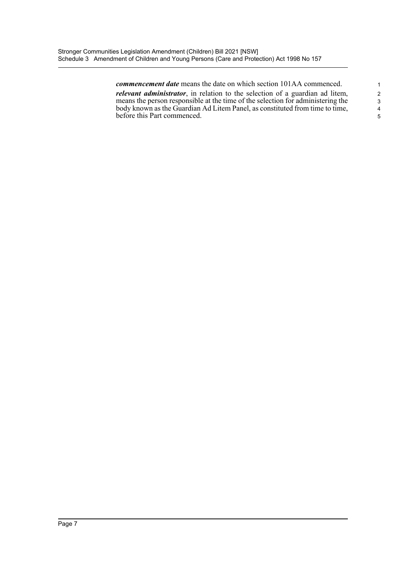*commencement date* means the date on which section 101AA commenced. *relevant administrator*, in relation to the selection of a guardian ad litem, means the person responsible at the time of the selection for administering the body known as the Guardian Ad Litem Panel, as constituted from time to time, before this Part commenced.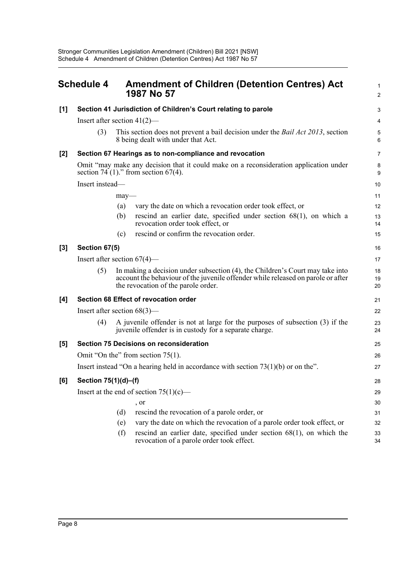<span id="page-11-0"></span>

| <b>Schedule 4</b> |                                                                                     |                                                                                                                                  | <b>Amendment of Children (Detention Centres) Act</b><br>1987 No 57                                                                                                                                       |                |  |  |
|-------------------|-------------------------------------------------------------------------------------|----------------------------------------------------------------------------------------------------------------------------------|----------------------------------------------------------------------------------------------------------------------------------------------------------------------------------------------------------|----------------|--|--|
| [1]               | Section 41 Jurisdiction of Children's Court relating to parole                      |                                                                                                                                  |                                                                                                                                                                                                          |                |  |  |
|                   |                                                                                     | Insert after section $41(2)$ —                                                                                                   |                                                                                                                                                                                                          |                |  |  |
|                   | (3)                                                                                 |                                                                                                                                  | This section does not prevent a bail decision under the <i>Bail Act 2013</i> , section<br>8 being dealt with under that Act.                                                                             | 5<br>6         |  |  |
| [2]               |                                                                                     |                                                                                                                                  | Section 67 Hearings as to non-compliance and revocation                                                                                                                                                  | 7              |  |  |
|                   |                                                                                     | Omit "may make any decision that it could make on a reconsideration application under<br>section 74 (1)." from section $67(4)$ . |                                                                                                                                                                                                          |                |  |  |
|                   | Insert instead-                                                                     |                                                                                                                                  |                                                                                                                                                                                                          | 10             |  |  |
|                   |                                                                                     | may                                                                                                                              |                                                                                                                                                                                                          | 11             |  |  |
|                   |                                                                                     | (a)                                                                                                                              | vary the date on which a revocation order took effect, or                                                                                                                                                | 12             |  |  |
|                   |                                                                                     | (b)                                                                                                                              | rescind an earlier date, specified under section $68(1)$ , on which a<br>revocation order took effect, or                                                                                                | 13<br>14       |  |  |
|                   |                                                                                     | (c)                                                                                                                              | rescind or confirm the revocation order.                                                                                                                                                                 | 15             |  |  |
| [3]               | Section 67(5)                                                                       |                                                                                                                                  |                                                                                                                                                                                                          |                |  |  |
|                   | Insert after section $67(4)$ —                                                      |                                                                                                                                  |                                                                                                                                                                                                          |                |  |  |
|                   | (5)                                                                                 |                                                                                                                                  | In making a decision under subsection (4), the Children's Court may take into<br>account the behaviour of the juvenile offender while released on parole or after<br>the revocation of the parole order. | 18<br>19<br>20 |  |  |
| [4]               | Section 68 Effect of revocation order                                               |                                                                                                                                  |                                                                                                                                                                                                          |                |  |  |
|                   | Insert after section $68(3)$ —                                                      |                                                                                                                                  |                                                                                                                                                                                                          | 22             |  |  |
|                   | (4)                                                                                 |                                                                                                                                  | A juvenile offender is not at large for the purposes of subsection (3) if the<br>juvenile offender is in custody for a separate charge.                                                                  | 23<br>24       |  |  |
| [5]               |                                                                                     |                                                                                                                                  | <b>Section 75 Decisions on reconsideration</b>                                                                                                                                                           | 25             |  |  |
|                   | Omit "On the" from section 75(1).                                                   |                                                                                                                                  |                                                                                                                                                                                                          |                |  |  |
|                   | Insert instead "On a hearing held in accordance with section $73(1)(b)$ or on the". |                                                                                                                                  |                                                                                                                                                                                                          |                |  |  |
| [6]               | Section 75(1)(d)-(f)                                                                |                                                                                                                                  |                                                                                                                                                                                                          |                |  |  |
|                   | Insert at the end of section $75(1)(c)$ —                                           |                                                                                                                                  |                                                                                                                                                                                                          |                |  |  |
|                   |                                                                                     |                                                                                                                                  | , or                                                                                                                                                                                                     | 30             |  |  |
|                   |                                                                                     | (d)                                                                                                                              | rescind the revocation of a parole order, or                                                                                                                                                             | 31             |  |  |
|                   |                                                                                     | (e)                                                                                                                              | vary the date on which the revocation of a parole order took effect, or                                                                                                                                  | 32             |  |  |
|                   |                                                                                     | (f)                                                                                                                              | rescind an earlier date, specified under section $68(1)$ , on which the<br>revocation of a parole order took effect.                                                                                     | 33<br>34       |  |  |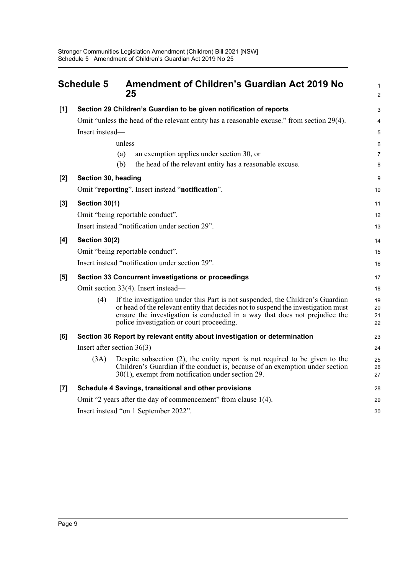<span id="page-12-0"></span>

|                    | <b>Schedule 5</b>                                                         | <b>Amendment of Children's Guardian Act 2019 No</b><br>25                                                                                                                                                                                                                                      | 1<br>$\overline{2}$  |  |  |  |
|--------------------|---------------------------------------------------------------------------|------------------------------------------------------------------------------------------------------------------------------------------------------------------------------------------------------------------------------------------------------------------------------------------------|----------------------|--|--|--|
| [1]                |                                                                           | Section 29 Children's Guardian to be given notification of reports                                                                                                                                                                                                                             | 3                    |  |  |  |
|                    |                                                                           | Omit "unless the head of the relevant entity has a reasonable excuse." from section 29(4).                                                                                                                                                                                                     | $\overline{4}$       |  |  |  |
|                    | Insert instead-                                                           |                                                                                                                                                                                                                                                                                                | 5                    |  |  |  |
|                    |                                                                           | $unless$ —                                                                                                                                                                                                                                                                                     | 6                    |  |  |  |
|                    |                                                                           | an exemption applies under section 30, or<br>(a)                                                                                                                                                                                                                                               | $\overline{7}$       |  |  |  |
|                    |                                                                           | the head of the relevant entity has a reasonable excuse.<br>(b)                                                                                                                                                                                                                                | 8                    |  |  |  |
| [2]                | Section 30, heading                                                       |                                                                                                                                                                                                                                                                                                | 9                    |  |  |  |
|                    |                                                                           | Omit "reporting". Insert instead "notification".                                                                                                                                                                                                                                               | 10                   |  |  |  |
| [3]                | Section 30(1)                                                             |                                                                                                                                                                                                                                                                                                | 11                   |  |  |  |
|                    |                                                                           | Omit "being reportable conduct".                                                                                                                                                                                                                                                               | 12                   |  |  |  |
|                    | Insert instead "notification under section 29".                           |                                                                                                                                                                                                                                                                                                |                      |  |  |  |
| [4]                | Section 30(2)                                                             |                                                                                                                                                                                                                                                                                                |                      |  |  |  |
|                    |                                                                           | Omit "being reportable conduct".                                                                                                                                                                                                                                                               | 15                   |  |  |  |
|                    |                                                                           | Insert instead "notification under section 29".                                                                                                                                                                                                                                                | 16                   |  |  |  |
| [5]                |                                                                           | Section 33 Concurrent investigations or proceedings                                                                                                                                                                                                                                            | 17                   |  |  |  |
|                    |                                                                           | Omit section 33(4). Insert instead—                                                                                                                                                                                                                                                            | 18                   |  |  |  |
|                    | (4)                                                                       | If the investigation under this Part is not suspended, the Children's Guardian<br>or head of the relevant entity that decides not to suspend the investigation must<br>ensure the investigation is conducted in a way that does not prejudice the<br>police investigation or court proceeding. | 19<br>20<br>21<br>22 |  |  |  |
| [6]                | Section 36 Report by relevant entity about investigation or determination |                                                                                                                                                                                                                                                                                                |                      |  |  |  |
|                    | Insert after section $36(3)$ —                                            |                                                                                                                                                                                                                                                                                                |                      |  |  |  |
|                    | (3A)                                                                      | Despite subsection $(2)$ , the entity report is not required to be given to the<br>Children's Guardian if the conduct is, because of an exemption under section<br>30(1), exempt from notification under section 29.                                                                           | 25<br>26<br>27       |  |  |  |
| $\left[ 7 \right]$ | Schedule 4 Savings, transitional and other provisions                     |                                                                                                                                                                                                                                                                                                |                      |  |  |  |
|                    | Omit "2 years after the day of commencement" from clause 1(4).            |                                                                                                                                                                                                                                                                                                |                      |  |  |  |
|                    | Insert instead "on 1 September 2022".                                     |                                                                                                                                                                                                                                                                                                |                      |  |  |  |
|                    |                                                                           |                                                                                                                                                                                                                                                                                                |                      |  |  |  |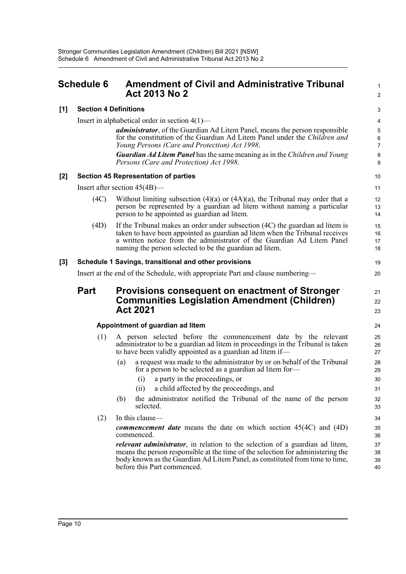*Persons (Care and Protection) Act 1998*.

## <span id="page-13-0"></span>**Schedule 6 Amendment of Civil and Administrative Tribunal Act 2013 No 2**

#### **[1] Section 4 Definitions**

Insert in alphabetical order in section 4(1)—

*administrator*, of the Guardian Ad Litem Panel, means the person responsible for the constitution of the Guardian Ad Litem Panel under the *Children and Young Persons (Care and Protection) Act 1998*. *Guardian Ad Litem Panel* has the same meaning as in the *Children and Young* 1  $\overline{2}$ 

21 22 23

#### **[2] Section 45 Representation of parties**

Insert after section 45(4B)—

- (4C) Without limiting subsection  $(4)(a)$  or  $(4A)(a)$ , the Tribunal may order that a person be represented by a guardian ad litem without naming a particular person to be appointed as guardian ad litem.
- (4D) If the Tribunal makes an order under subsection (4C) the guardian ad litem is taken to have been appointed as guardian ad litem when the Tribunal receives a written notice from the administrator of the Guardian Ad Litem Panel naming the person selected to be the guardian ad litem.

#### **[3] Schedule 1 Savings, transitional and other provisions**

Insert at the end of the Schedule, with appropriate Part and clause numbering—

## **Part Provisions consequent on enactment of Stronger Communities Legislation Amendment (Children) Act 2021**

#### **Appointment of guardian ad litem**

- (1) A person selected before the commencement date by the relevant administrator to be a guardian ad litem in proceedings in the Tribunal is taken to have been validly appointed as a guardian ad litem if—
	- (a) a request was made to the administrator by or on behalf of the Tribunal for a person to be selected as a guardian ad litem for—
		- (i) a party in the proceedings, or
		- (ii) a child affected by the proceedings, and
	- (b) the administrator notified the Tribunal of the name of the person selected.

#### (2) In this clause—

*commencement date* means the date on which section 45(4C) and (4D) commenced.

*relevant administrator*, in relation to the selection of a guardian ad litem, means the person responsible at the time of the selection for administering the body known as the Guardian Ad Litem Panel, as constituted from time to time, before this Part commenced.